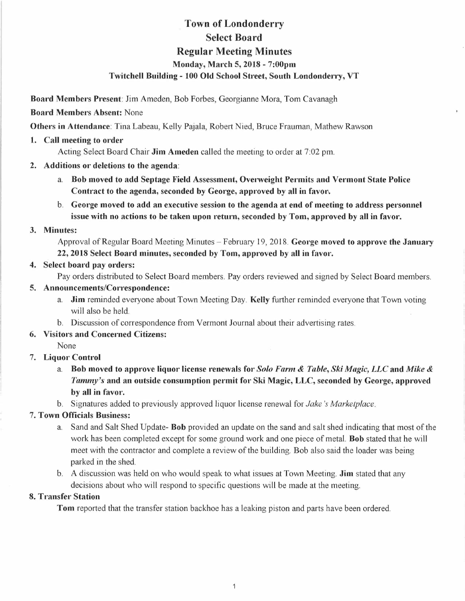# **Town of Londonderry Select Board Regular Meeting Minutes Monday, March 5, 2018 - 7:00pm Twitchell Building - 100 Old School Street, South Londonderry, VT**

**Board Members Present:** Jim Ameden, Bob Forbes, Georgianne Mora, Tom Cavanagh

**Board Members Absent:** None

**Others in Attendance:** Tina Labeau, Kelly Pajala, Robert Nied, Bruce Frauman, Mathew Rawson

### **1. Call meeting to order**

Acting Select Board Chair **Jim Amedeo** called the meeting to order at 7:02 pm.

- **2. Additions or deletions to the agenda:** 
	- a. **Bob moved to add Septage Field Assessment, Overweight Permits and Vermont State Police Contract to the agenda, seconded by George, approved by all in favor,**
	- b. **George moved to add an executive session to the agenda at end of meeting to address personnel issue with no actions to be taken upon return, seconded by Tom, approved by all in favor.**

### **3. Minutes:**

Approval of Regular Board Meeting Minutes - February 19, 2018. **George moved to approve the January 22, 2018 Select Board minutes, seconded by Tom, approved by all in favor.** 

**4. Select board pay orders:** 

Pay orders distributed to Select Board members. Pay orders reviewed and signed by Select Board members.

### **5. Announcements/Correspondence:**

- a. **Jim** reminded everyone about Town Meeting Day. **Kelly** further reminded everyone that Town voting will also be held.
- b. Discussion of correspondence from Vermont Journal about their advertising rates.

# **6. Visitors and Concerned Citizens:**

None

# **7. Liquor Control**

- a. **Bob moved to approve liquor license renewals for** *Solo Farm & Table, Ski Magic, LLC* **and** *Mike & Tammy's* **and an outside consumption permit for Ski Magic, LLC, seconded by George, approved by all in favor.**
- b. Signatures added to previously approved liquor license renewal for *Jake's Marketplace.*

# 7. **Town Officials Business:**

- a. Sand and Salt Shed Update- **Bob** provided an update on the sand and salt shed indicating that most of the work has been completed except for some ground work and one piece of metal. **Bob** stated that he will meet with the contractor and complete a review of the building. Bob also said the loader was being parked in the shed.
- b. A discussion was held on who would speak to what issues at Town Meeting. **Jim** stated that any decisions about who will respond to specific questions will be made at the meeting.

# **8. Transfer Station**

**Tom** reported that the transfer station backhoe has a leaking piston and parts have been ordered.